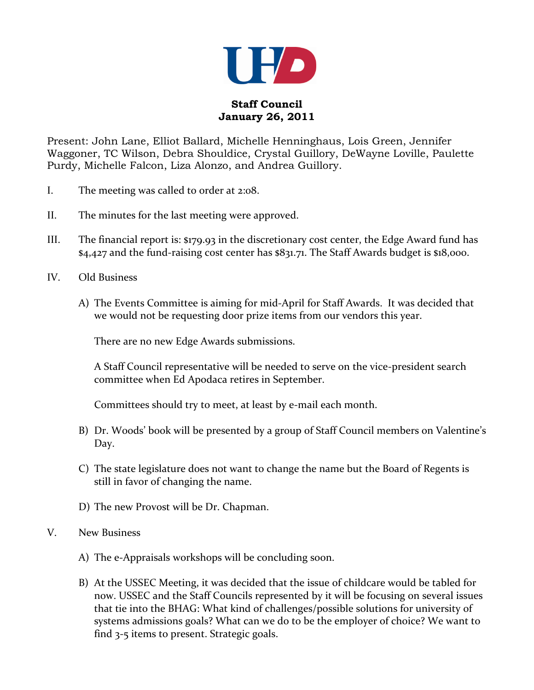

## **Staff Council January 26, 2011**

Present: John Lane, Elliot Ballard, Michelle Henninghaus, Lois Green, Jennifer Waggoner, TC Wilson, Debra Shouldice, Crystal Guillory, DeWayne Loville, Paulette Purdy, Michelle Falcon, Liza Alonzo, and Andrea Guillory.

- I. The meeting was called to order at 2:08.
- II. The minutes for the last meeting were approved.
- III. The financial report is: \$179.93 in the discretionary cost center, the Edge Award fund has \$4,427 and the fund-raising cost center has \$831.71. The Staff Awards budget is \$18,000.
- IV. Old Business
	- A) The Events Committee is aiming for mid-April for Staff Awards. It was decided that we would not be requesting door prize items from our vendors this year.

There are no new Edge Awards submissions.

A Staff Council representative will be needed to serve on the vice-president search committee when Ed Apodaca retires in September.

Committees should try to meet, at least by e-mail each month.

- B) Dr. Woods' book will be presented by a group of Staff Council members on Valentine's Day.
- C) The state legislature does not want to change the name but the Board of Regents is still in favor of changing the name.
- D) The new Provost will be Dr. Chapman.
- V. New Business
	- A) The e-Appraisals workshops will be concluding soon.
	- B) At the USSEC Meeting, it was decided that the issue of childcare would be tabled for now. USSEC and the Staff Councils represented by it will be focusing on several issues that tie into the BHAG: What kind of challenges/possible solutions for university of systems admissions goals? What can we do to be the employer of choice? We want to find 3-5 items to present. Strategic goals.